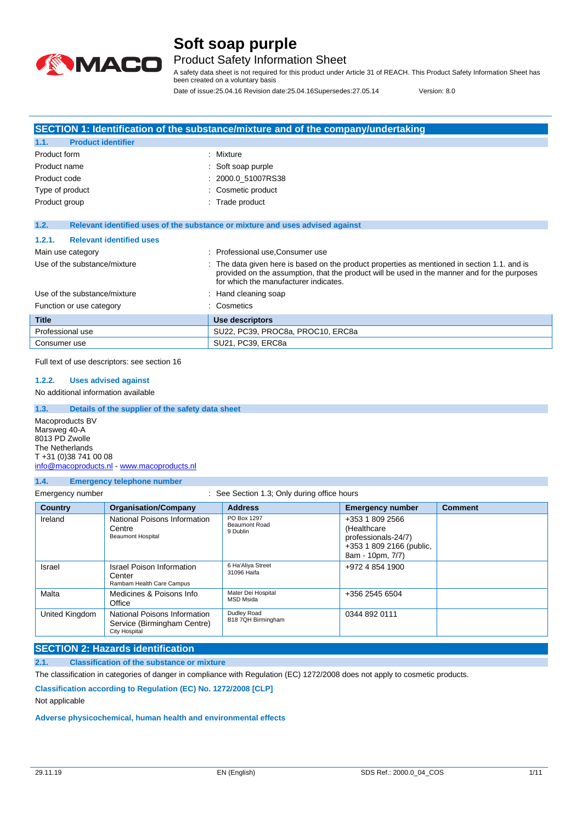

### Product Safety Information Sheet

A safety data sheet is not required for this product under Article 31 of REACH. This Product Safety Information Sheet has been created on a voluntary basis

Date of issue:25.04.16 Revision date:25.04.16Supersedes:27.05.14 Version: 8.0

| SECTION 1: Identification of the substance/mixture and of the company/undertaking |                                                                                                                                                                                                                                     |  |
|-----------------------------------------------------------------------------------|-------------------------------------------------------------------------------------------------------------------------------------------------------------------------------------------------------------------------------------|--|
| <b>Product identifier</b><br>1.1.                                                 |                                                                                                                                                                                                                                     |  |
| Product form                                                                      | : Mixture                                                                                                                                                                                                                           |  |
| Product name                                                                      | : Soft soap purple                                                                                                                                                                                                                  |  |
| Product code                                                                      | 2000.0 51007RS38                                                                                                                                                                                                                    |  |
| Type of product                                                                   | Cosmetic product                                                                                                                                                                                                                    |  |
| Product group                                                                     | : Trade product                                                                                                                                                                                                                     |  |
|                                                                                   |                                                                                                                                                                                                                                     |  |
| 1.2.                                                                              | Relevant identified uses of the substance or mixture and uses advised against                                                                                                                                                       |  |
| <b>Relevant identified uses</b><br>1.2.1.                                         |                                                                                                                                                                                                                                     |  |
| Main use category                                                                 | Professional use, Consumer use<br>٠                                                                                                                                                                                                 |  |
| Use of the substance/mixture                                                      | The data given here is based on the product properties as mentioned in section 1.1, and is<br>provided on the assumption, that the product will be used in the manner and for the purposes<br>for which the manufacturer indicates. |  |
| Use of the substance/mixture                                                      | $\therefore$ Hand cleaning soap                                                                                                                                                                                                     |  |
| Function or use category                                                          | : Cosmetics                                                                                                                                                                                                                         |  |
| <b>Title</b>                                                                      | Use descriptors                                                                                                                                                                                                                     |  |
| Professional use                                                                  | SU22, PC39, PROC8a, PROC10, ERC8a                                                                                                                                                                                                   |  |
| Consumer use                                                                      | SU21, PC39, ERC8a                                                                                                                                                                                                                   |  |

Full text of use descriptors: see section 16

#### **1.2.2. Uses advised against**

No additional information available

**1.3. Details of the supplier of the safety data sheet** Macoproducts BV Marsweg 40-A 8013 PD Zwolle The Netherlands T +31 (0)38 741 00 08 [info@macoproducts.nl](mailto:info@macoproducts.nl) - <www.macoproducts.nl>

#### **1.4. Emergency telephone number**

| Emergency number | See Section 1.3; Only during office hours |
|------------------|-------------------------------------------|
|                  |                                           |

| <b>Country</b> | <b>Organisation/Company</b>                                                         | <b>Address</b>                           | <b>Emergency number</b>                                                                                | <b>Comment</b> |
|----------------|-------------------------------------------------------------------------------------|------------------------------------------|--------------------------------------------------------------------------------------------------------|----------------|
| Ireland        | National Poisons Information<br>Centre<br><b>Beaumont Hospital</b>                  | PO Box 1297<br>Beaumont Road<br>9 Dublin | +353 1 809 2566<br>(Healthcare)<br>professionals-24/7)<br>+353 1 809 2166 (public,<br>8am - 10pm, 7/7) |                |
| Israel         | Israel Poison Information<br>Center<br>Rambam Health Care Campus                    | 6 Ha'Aliya Street<br>31096 Haifa         | +972 4 854 1900                                                                                        |                |
| Malta          | Medicines & Poisons Info<br>Office                                                  | Mater Dei Hospital<br><b>MSD Msida</b>   | +356 2545 6504                                                                                         |                |
| United Kingdom | National Poisons Information<br>Service (Birmingham Centre)<br><b>City Hospital</b> | Dudley Road<br>B18 7QH Birmingham        | 0344 892 0111                                                                                          |                |

#### **SECTION 2: Hazards identification**

**2.1. Classification of the substance or mixture**

The classification in categories of danger in compliance with Regulation (EC) 1272/2008 does not apply to cosmetic products.

**Classification according to Regulation (EC) No. 1272/2008 [CLP]**

#### Not applicable

**Adverse physicochemical, human health and environmental effects**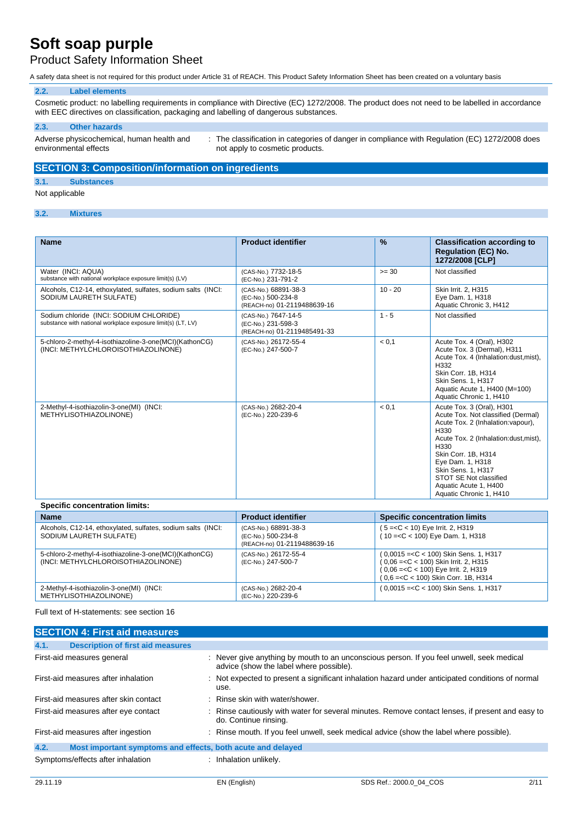### Product Safety Information Sheet

A safety data sheet is not required for this product under Article 31 of REACH. This Product Safety Information Sheet has been created on a voluntary basis

#### **2.2. Label elements**

Cosmetic product: no labelling requirements in compliance with Directive (EC) 1272/2008. The product does not need to be labelled in accordance with EEC directives on classification, packaging and labelling of dangerous substances.

#### **2.3. Other hazards**

Adverse physicochemical, human health and environmental effects

: The classification in categories of danger in compliance with Regulation (EC) 1272/2008 does not apply to cosmetic products.

#### **SECTION 3: Composition/information on ingredients**

#### **3.1. Substances**

Not applicable

#### **3.2. Mixtures**

| <b>Name</b>                                                                                             | <b>Product identifier</b>                                                 | $\frac{9}{6}$ | <b>Classification according to</b><br><b>Regulation (EC) No.</b><br>1272/2008 [CLP]                                                                                                                                                                                                                            |
|---------------------------------------------------------------------------------------------------------|---------------------------------------------------------------------------|---------------|----------------------------------------------------------------------------------------------------------------------------------------------------------------------------------------------------------------------------------------------------------------------------------------------------------------|
| Water (INCI: AQUA)<br>substance with national workplace exposure limit(s) (LV)                          | (CAS-No.) 7732-18-5<br>(EC-No.) 231-791-2                                 | $>= 30$       | Not classified                                                                                                                                                                                                                                                                                                 |
| Alcohols, C12-14, ethoxylated, sulfates, sodium salts (INCI:<br>SODIUM LAURETH SULFATE)                 | (CAS-No.) 68891-38-3<br>(EC-No.) 500-234-8<br>(REACH-no) 01-2119488639-16 | $10 - 20$     | Skin Irrit. 2, H315<br>Eye Dam. 1, H318<br>Aquatic Chronic 3, H412                                                                                                                                                                                                                                             |
| Sodium chloride (INCI: SODIUM CHLORIDE)<br>substance with national workplace exposure limit(s) (LT, LV) | (CAS-No.) 7647-14-5<br>(EC-No.) 231-598-3<br>(REACH-no) 01-2119485491-33  | $1 - 5$       | Not classified                                                                                                                                                                                                                                                                                                 |
| 5-chloro-2-methyl-4-isothiazoline-3-one(MCI)(KathonCG)<br>(INCI: METHYLCHLOROISOTHIAZOLINONE)           | (CAS-No.) 26172-55-4<br>(EC-No.) 247-500-7                                | < 0.1         | Acute Tox. 4 (Oral), H302<br>Acute Tox. 3 (Dermal), H311<br>Acute Tox. 4 (Inhalation:dust, mist),<br>H332<br>Skin Corr. 1B, H314<br>Skin Sens. 1, H317<br>Aquatic Acute 1, H400 (M=100)<br>Aquatic Chronic 1, H410                                                                                             |
| 2-Methyl-4-isothiazolin-3-one(MI) (INCI:<br>METHYLISOTHIAZOLINONE)                                      | (CAS-No.) 2682-20-4<br>(EC-No.) 220-239-6                                 | < 0.1         | Acute Tox. 3 (Oral), H301<br>Acute Tox. Not classified (Dermal)<br>Acute Tox. 2 (Inhalation: vapour),<br>H330<br>Acute Tox. 2 (Inhalation: dust, mist),<br>H330<br>Skin Corr. 1B. H314<br>Eye Dam. 1, H318<br>Skin Sens. 1, H317<br>STOT SE Not classified<br>Aquatic Acute 1, H400<br>Aquatic Chronic 1, H410 |

#### **Specific concentration limits:**

| <b>Name</b>                                                                                   | <b>Product identifier</b>                                                 | <b>Specific concentration limits</b>                                                                                                                                  |
|-----------------------------------------------------------------------------------------------|---------------------------------------------------------------------------|-----------------------------------------------------------------------------------------------------------------------------------------------------------------------|
| Alcohols, C12-14, ethoxylated, sulfates, sodium salts (INCI:<br>SODIUM LAURETH SULFATE)       | (CAS-No.) 68891-38-3<br>(EC-No.) 500-234-8<br>(REACH-no) 01-2119488639-16 | $(5 = < C < 10)$ Eye Irrit. 2, H319<br>$(10 = < C < 100)$ Eye Dam. 1, H318                                                                                            |
| 5-chloro-2-methyl-4-isothiazoline-3-one(MCI)(KathonCG)<br>(INCI: METHYLCHLOROISOTHIAZOLINONE) | (CAS-No.) 26172-55-4<br>(EC-No.) 247-500-7                                | $(0.0015 = < C < 100)$ Skin Sens. 1, H317<br>$(0,06=<$ C < 100) Skin Irrit. 2, H315<br>(0,06 = < C < 100) Eye Irrit. 2, H319<br>(0,6 = < C < 100) Skin Corr. 1B, H314 |
| 2-Methyl-4-isothiazolin-3-one(MI) (INCI:<br>METHYLISOTHIAZOLINONE)                            | (CAS-No.) 2682-20-4<br>(EC-No.) 220-239-6                                 | $(0.0015 = < C < 100)$ Skin Sens. 1, H317                                                                                                                             |

Full text of H-statements: see section 16

| <b>SECTION 4: First aid measures</b>                                |                                                                                                                                      |
|---------------------------------------------------------------------|--------------------------------------------------------------------------------------------------------------------------------------|
| 4.1.<br><b>Description of first aid measures</b>                    |                                                                                                                                      |
| First-aid measures general                                          | : Never give anything by mouth to an unconscious person. If you feel unwell, seek medical<br>advice (show the label where possible). |
| First-aid measures after inhalation                                 | : Not expected to present a significant inhalation hazard under anticipated conditions of normal<br>use.                             |
| First-aid measures after skin contact                               | : Rinse skin with water/shower.                                                                                                      |
| First-aid measures after eye contact                                | : Rinse cautiously with water for several minutes. Remove contact lenses, if present and easy to<br>do. Continue rinsing.            |
| First-aid measures after ingestion                                  | : Rinse mouth. If you feel unwell, seek medical advice (show the label where possible).                                              |
| 4.2.<br>Most important symptoms and effects, both acute and delayed |                                                                                                                                      |
| Symptoms/effects after inhalation                                   | : Inhalation unlikely.                                                                                                               |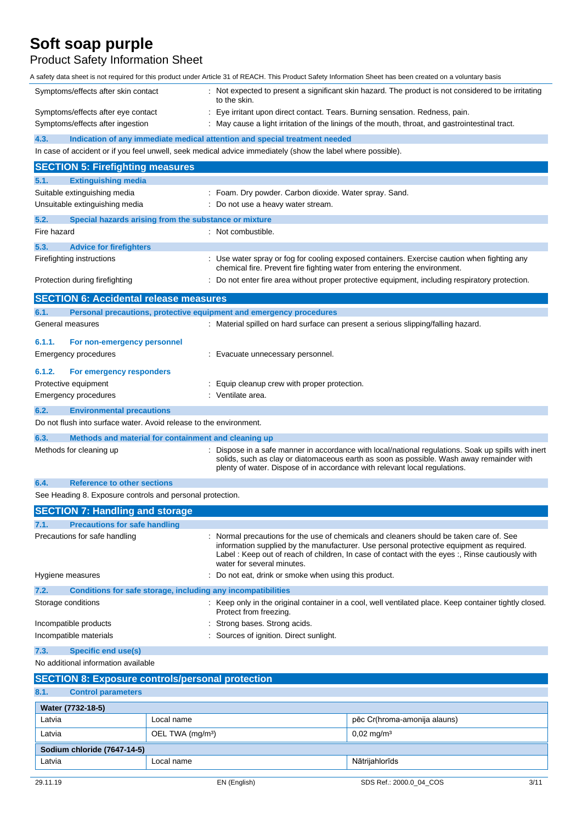### Product Safety Information Sheet

A safety data sheet is not required for this product under Article 31 of REACH. This Product Safety Information Sheet has been created on a voluntary basis

|                                                                                                                                                        |                              |                                                                                                             | saiciy uata sheet is nut required for this product under Anticle of UITRAOH. This Froudul Calety Information Cheet has been created on a voluntary basis                                                                                                                            |  |
|--------------------------------------------------------------------------------------------------------------------------------------------------------|------------------------------|-------------------------------------------------------------------------------------------------------------|-------------------------------------------------------------------------------------------------------------------------------------------------------------------------------------------------------------------------------------------------------------------------------------|--|
| Symptoms/effects after skin contact                                                                                                                    |                              | to the skin.                                                                                                | : Not expected to present a significant skin hazard. The product is not considered to be irritating                                                                                                                                                                                 |  |
| Symptoms/effects after eye contact                                                                                                                     |                              | Eye irritant upon direct contact. Tears. Burning sensation. Redness, pain.                                  |                                                                                                                                                                                                                                                                                     |  |
| Symptoms/effects after ingestion                                                                                                                       |                              | May cause a light irritation of the linings of the mouth, throat, and gastrointestinal tract.               |                                                                                                                                                                                                                                                                                     |  |
| 4.3.                                                                                                                                                   |                              | Indication of any immediate medical attention and special treatment needed                                  |                                                                                                                                                                                                                                                                                     |  |
|                                                                                                                                                        |                              | In case of accident or if you feel unwell, seek medical advice immediately (show the label where possible). |                                                                                                                                                                                                                                                                                     |  |
| <b>SECTION 5: Firefighting measures</b>                                                                                                                |                              |                                                                                                             |                                                                                                                                                                                                                                                                                     |  |
| <b>Extinguishing media</b><br>5.1.                                                                                                                     |                              |                                                                                                             |                                                                                                                                                                                                                                                                                     |  |
| Suitable extinguishing media                                                                                                                           |                              | : Foam. Dry powder. Carbon dioxide. Water spray. Sand.                                                      |                                                                                                                                                                                                                                                                                     |  |
| Unsuitable extinguishing media                                                                                                                         |                              | : Do not use a heavy water stream.                                                                          |                                                                                                                                                                                                                                                                                     |  |
| 5.2.<br>Special hazards arising from the substance or mixture                                                                                          |                              |                                                                                                             |                                                                                                                                                                                                                                                                                     |  |
| Fire hazard                                                                                                                                            |                              | : Not combustible.                                                                                          |                                                                                                                                                                                                                                                                                     |  |
| 5.3.<br><b>Advice for firefighters</b>                                                                                                                 |                              |                                                                                                             |                                                                                                                                                                                                                                                                                     |  |
| Firefighting instructions                                                                                                                              |                              | chemical fire. Prevent fire fighting water from entering the environment.                                   | Use water spray or fog for cooling exposed containers. Exercise caution when fighting any                                                                                                                                                                                           |  |
| Protection during firefighting                                                                                                                         |                              |                                                                                                             | Do not enter fire area without proper protective equipment, including respiratory protection.                                                                                                                                                                                       |  |
| <b>SECTION 6: Accidental release measures</b>                                                                                                          |                              |                                                                                                             |                                                                                                                                                                                                                                                                                     |  |
| 6.1.                                                                                                                                                   |                              | Personal precautions, protective equipment and emergency procedures                                         |                                                                                                                                                                                                                                                                                     |  |
| General measures                                                                                                                                       |                              | : Material spilled on hard surface can present a serious slipping/falling hazard.                           |                                                                                                                                                                                                                                                                                     |  |
| 6.1.1.<br>For non-emergency personnel                                                                                                                  |                              |                                                                                                             |                                                                                                                                                                                                                                                                                     |  |
| Emergency procedures                                                                                                                                   |                              | Evacuate unnecessary personnel.                                                                             |                                                                                                                                                                                                                                                                                     |  |
| 6.1.2.<br>For emergency responders                                                                                                                     |                              |                                                                                                             |                                                                                                                                                                                                                                                                                     |  |
| Protective equipment                                                                                                                                   |                              | Equip cleanup crew with proper protection.                                                                  |                                                                                                                                                                                                                                                                                     |  |
| Emergency procedures                                                                                                                                   |                              | Ventilate area.                                                                                             |                                                                                                                                                                                                                                                                                     |  |
| 6.2.<br><b>Environmental precautions</b>                                                                                                               |                              |                                                                                                             |                                                                                                                                                                                                                                                                                     |  |
| Do not flush into surface water. Avoid release to the environment.                                                                                     |                              |                                                                                                             |                                                                                                                                                                                                                                                                                     |  |
| 6.3.<br>Methods and material for containment and cleaning up                                                                                           |                              |                                                                                                             |                                                                                                                                                                                                                                                                                     |  |
| Methods for cleaning up                                                                                                                                |                              | plenty of water. Dispose of in accordance with relevant local regulations.                                  | Dispose in a safe manner in accordance with local/national regulations. Soak up spills with inert<br>solids, such as clay or diatomaceous earth as soon as possible. Wash away remainder with                                                                                       |  |
| <b>Reference to other sections</b><br>6.4.                                                                                                             |                              |                                                                                                             |                                                                                                                                                                                                                                                                                     |  |
| See Heading 8. Exposure controls and personal protection.                                                                                              |                              |                                                                                                             |                                                                                                                                                                                                                                                                                     |  |
| <b>SECTION 7: Handling and storage</b>                                                                                                                 |                              |                                                                                                             |                                                                                                                                                                                                                                                                                     |  |
| 7.1.<br><b>Precautions for safe handling</b>                                                                                                           |                              |                                                                                                             |                                                                                                                                                                                                                                                                                     |  |
| Precautions for safe handling                                                                                                                          |                              | water for several minutes.                                                                                  | Normal precautions for the use of chemicals and cleaners should be taken care of. See<br>information supplied by the manufacturer. Use personal protective equipment as required.<br>Label: Keep out of reach of children, In case of contact with the eyes:, Rinse cautiously with |  |
| Hygiene measures                                                                                                                                       |                              | Do not eat, drink or smoke when using this product.                                                         |                                                                                                                                                                                                                                                                                     |  |
| 7.2.                                                                                                                                                   |                              | Conditions for safe storage, including any incompatibilities                                                |                                                                                                                                                                                                                                                                                     |  |
| Storage conditions<br>: Keep only in the original container in a cool, well ventilated place. Keep container tightly closed.<br>Protect from freezing. |                              |                                                                                                             |                                                                                                                                                                                                                                                                                     |  |
| Incompatible products                                                                                                                                  |                              | Strong bases. Strong acids.                                                                                 |                                                                                                                                                                                                                                                                                     |  |
| Sources of ignition. Direct sunlight.<br>Incompatible materials                                                                                        |                              |                                                                                                             |                                                                                                                                                                                                                                                                                     |  |
| <b>Specific end use(s)</b><br>7.3.                                                                                                                     |                              |                                                                                                             |                                                                                                                                                                                                                                                                                     |  |
| No additional information available                                                                                                                    |                              |                                                                                                             |                                                                                                                                                                                                                                                                                     |  |
| <b>SECTION 8: Exposure controls/personal protection</b>                                                                                                |                              |                                                                                                             |                                                                                                                                                                                                                                                                                     |  |
| 8.1.<br><b>Control parameters</b>                                                                                                                      |                              |                                                                                                             |                                                                                                                                                                                                                                                                                     |  |
| Water (7732-18-5)                                                                                                                                      |                              |                                                                                                             |                                                                                                                                                                                                                                                                                     |  |
| Latvia                                                                                                                                                 | Local name                   |                                                                                                             | pēc Cr(hroma-amonija alauns)                                                                                                                                                                                                                                                        |  |
| Latvia                                                                                                                                                 | OEL TWA (mg/m <sup>3</sup> ) |                                                                                                             | $0,02 \text{ mg/m}^3$                                                                                                                                                                                                                                                               |  |

**Sodium chloride (7647-14-5)**

Latvia Local name Nātrijahlorīds kasas attīvas kasas attīvas kasas attīvas kasas attīvas kas kasas attīvas kas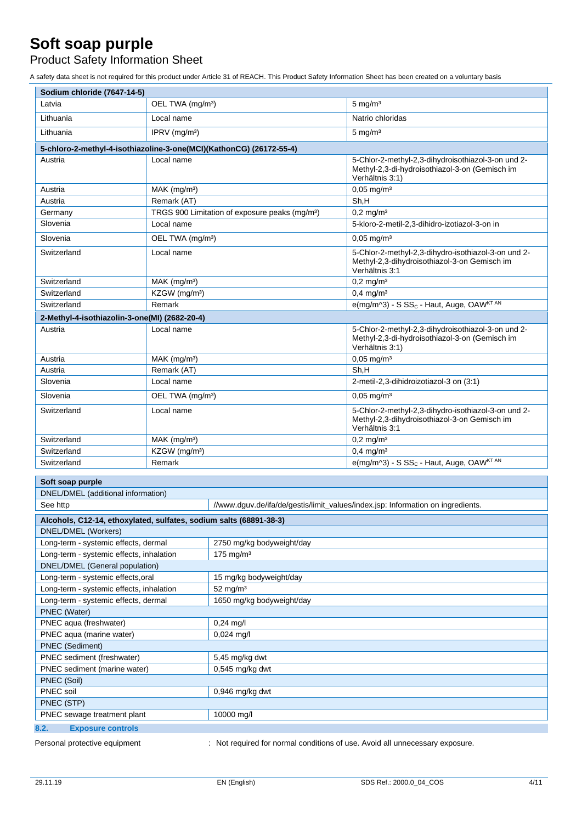Product Safety Information Sheet

A safety data sheet is not required for this product under Article 31 of REACH. This Product Safety Information Sheet has been created on a voluntary basis

| Sodium chloride (7647-14-5)                                         |                              |                                                            |                                                                                                                         |  |  |
|---------------------------------------------------------------------|------------------------------|------------------------------------------------------------|-------------------------------------------------------------------------------------------------------------------------|--|--|
| Latvia                                                              | OEL TWA (mg/m <sup>3</sup> ) |                                                            | $5 \text{ mg/m}^3$                                                                                                      |  |  |
| Lithuania                                                           | Local name                   |                                                            | Natrio chloridas                                                                                                        |  |  |
| Lithuania                                                           | IPRV $(mg/m3)$               |                                                            | $5 \text{ mg/m}^3$                                                                                                      |  |  |
| 5-chloro-2-methyl-4-isothiazoline-3-one(MCI)(KathonCG) (26172-55-4) |                              |                                                            |                                                                                                                         |  |  |
| Austria                                                             | Local name                   |                                                            | 5-Chlor-2-methyl-2,3-dihydroisothiazol-3-on und 2-<br>Methyl-2,3-di-hydroisothiazol-3-on (Gemisch im<br>Verhältnis 3:1) |  |  |
| Austria                                                             | $MAK$ (mg/m <sup>3</sup> )   |                                                            | $0,05 \text{ mg/m}^3$                                                                                                   |  |  |
| Austria                                                             | Remark (AT)                  |                                                            | Sh,H                                                                                                                    |  |  |
| Germany                                                             |                              | TRGS 900 Limitation of exposure peaks (mg/m <sup>3</sup> ) | $0.2 \text{ mg/m}^3$                                                                                                    |  |  |
| Slovenia                                                            | Local name                   |                                                            | 5-kloro-2-metil-2,3-dihidro-izotiazol-3-on in                                                                           |  |  |
| Slovenia                                                            | OEL TWA (mg/m <sup>3</sup> ) |                                                            | $0,05$ mg/m <sup>3</sup>                                                                                                |  |  |
| Switzerland                                                         | Local name                   |                                                            | 5-Chlor-2-methyl-2,3-dihydro-isothiazol-3-on und 2-<br>Methyl-2,3-dihydroisothiazol-3-on Gemisch im<br>Verhältnis 3:1   |  |  |
| Switzerland                                                         | MAK (mg/m <sup>3</sup> )     |                                                            | $0,2$ mg/m <sup>3</sup>                                                                                                 |  |  |
| Switzerland                                                         | KZGW (mg/m <sup>3</sup> )    |                                                            | $0,4$ mg/m <sup>3</sup>                                                                                                 |  |  |
| Switzerland                                                         | Remark                       |                                                            | e(mg/m^3) - S SS <sub>c</sub> - Haut, Auge, OAW <sup>KT AN</sup>                                                        |  |  |
| 2-Methyl-4-isothiazolin-3-one(MI) (2682-20-4)                       |                              |                                                            |                                                                                                                         |  |  |
| Austria                                                             | Local name                   |                                                            | 5-Chlor-2-methyl-2,3-dihydroisothiazol-3-on und 2-<br>Methyl-2,3-di-hydroisothiazol-3-on (Gemisch im<br>Verhältnis 3:1) |  |  |
| Austria                                                             | MAK (mg/m <sup>3</sup> )     |                                                            | $0,05$ mg/m <sup>3</sup>                                                                                                |  |  |
| Austria                                                             | Remark (AT)                  |                                                            | Sh,H                                                                                                                    |  |  |
| Slovenia                                                            | Local name                   |                                                            | 2-metil-2,3-dihidroizotiazol-3 on (3:1)                                                                                 |  |  |
| Slovenia                                                            | OEL TWA (mg/m <sup>3</sup> ) |                                                            | $0,05$ mg/m <sup>3</sup>                                                                                                |  |  |
| Switzerland                                                         | Local name                   |                                                            | 5-Chlor-2-methyl-2,3-dihydro-isothiazol-3-on und 2-<br>Methyl-2,3-dihydroisothiazol-3-on Gemisch im<br>Verhältnis 3:1   |  |  |
| Switzerland                                                         | MAK (mg/m <sup>3</sup> )     |                                                            | $0,2$ mg/m <sup>3</sup>                                                                                                 |  |  |
| Switzerland                                                         | KZGW (mg/m <sup>3</sup> )    |                                                            | $0,4$ mg/m <sup>3</sup>                                                                                                 |  |  |
| Switzerland                                                         | Remark                       |                                                            | e(mg/m^3) - S SS <sub>c</sub> - Haut, Auge, OAW <sup>KT AN</sup>                                                        |  |  |
| Soft soap purple                                                    |                              |                                                            |                                                                                                                         |  |  |
| DNEL/DMEL (additional information)                                  |                              |                                                            |                                                                                                                         |  |  |
| See http                                                            |                              |                                                            | //www.dguv.de/ifa/de/gestis/limit_values/index.jsp: Information on ingredients.                                         |  |  |
| Alcohols, C12-14, ethoxylated, sulfates, sodium salts (68891-38-3)  |                              |                                                            |                                                                                                                         |  |  |
| <b>DNEL/DMEL (Workers)</b>                                          |                              |                                                            |                                                                                                                         |  |  |
| Long-term - systemic effects, dermal                                |                              | 2750 mg/kg bodyweight/day                                  |                                                                                                                         |  |  |
| Long-term - systemic effects, inhalation                            |                              | $175$ mg/m <sup>3</sup>                                    |                                                                                                                         |  |  |
| DNEL/DMEL (General population)                                      |                              |                                                            |                                                                                                                         |  |  |
| Long-term - systemic effects, oral                                  |                              | 15 mg/kg bodyweight/day                                    |                                                                                                                         |  |  |
| Long-term - systemic effects, inhalation                            |                              | $52$ mg/m <sup>3</sup>                                     |                                                                                                                         |  |  |
| Long-term - systemic effects, dermal                                |                              | 1650 mg/kg bodyweight/day                                  |                                                                                                                         |  |  |
| PNEC (Water)                                                        |                              |                                                            |                                                                                                                         |  |  |
| PNEC aqua (freshwater)                                              |                              | $0,24$ mg/l                                                |                                                                                                                         |  |  |
| PNEC aqua (marine water)                                            |                              | 0,024 mg/l                                                 |                                                                                                                         |  |  |
| <b>PNEC</b> (Sediment)                                              |                              |                                                            |                                                                                                                         |  |  |
| PNEC sediment (freshwater)                                          |                              | 5,45 mg/kg dwt                                             |                                                                                                                         |  |  |
| $0,545$ mg/kg dwt<br>PNEC sediment (marine water)                   |                              |                                                            |                                                                                                                         |  |  |
| PNEC (Soil)                                                         |                              |                                                            |                                                                                                                         |  |  |
| PNEC soil<br>PNEC (STP)                                             |                              | $0,946$ mg/kg dwt                                          |                                                                                                                         |  |  |
| PNEC sewage treatment plant                                         |                              | 10000 mg/l                                                 |                                                                                                                         |  |  |
|                                                                     |                              |                                                            |                                                                                                                         |  |  |
| 8.2.<br><b>Exposure controls</b>                                    |                              |                                                            |                                                                                                                         |  |  |

Personal protective equipment : Not required for normal conditions of use. Avoid all unnecessary exposure.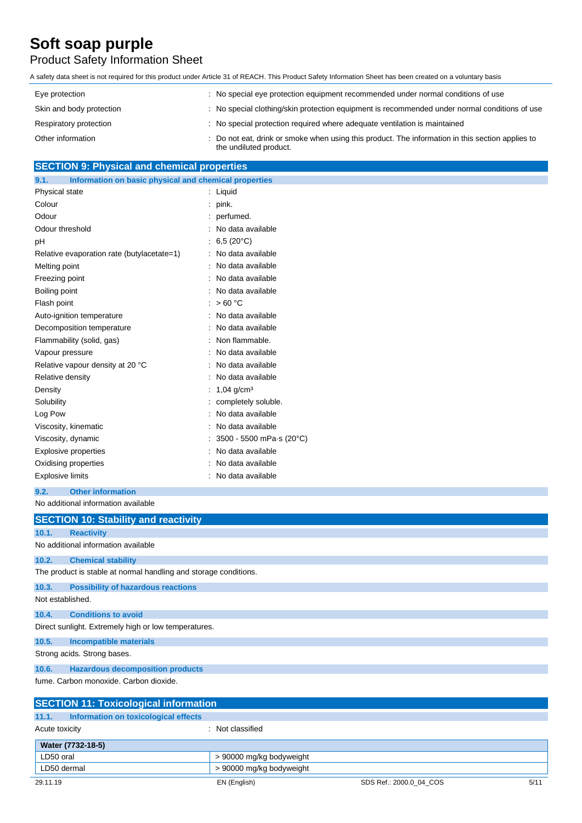### Product Safety Information Sheet

A safety data sheet is not required for this product under Article 31 of REACH. This Product Safety Information Sheet has been created on a voluntary basis

| Eye protection           | : No special eye protection equipment recommended under normal conditions of use                                           |
|--------------------------|----------------------------------------------------------------------------------------------------------------------------|
| Skin and body protection | : No special clothing/skin protection equipment is recommended under normal conditions of use                              |
| Respiratory protection   | : No special protection required where adequate ventilation is maintained                                                  |
| Other information        | . Do not eat, drink or smoke when using this product. The information in this section applies to<br>the undiluted product. |

#### **SECTION 9: Physical and chemical properties**

| 9.1.           | Information on basic physical and chemical properties |                          |
|----------------|-------------------------------------------------------|--------------------------|
| Physical state |                                                       | Liquid                   |
| Colour         |                                                       | pink.                    |
| Odour          |                                                       | perfumed.                |
|                | Odour threshold                                       | No data available        |
| рH             |                                                       | 6,5 $(20^{\circ}C)$      |
|                | Relative evaporation rate (butylacetate=1)            | No data available        |
| Melting point  |                                                       | No data available        |
| Freezing point |                                                       | No data available        |
| Boiling point  |                                                       | No data available        |
| Flash point    |                                                       | >60 °C                   |
|                | Auto-ignition temperature                             | No data available        |
|                | Decomposition temperature                             | No data available        |
|                | Flammability (solid, gas)                             | Non flammable.           |
|                | Vapour pressure                                       | No data available        |
|                | Relative vapour density at 20 °C                      | No data available        |
|                | Relative density                                      | No data available        |
| Density        |                                                       | $1,04$ g/cm <sup>3</sup> |
| Solubility     |                                                       | completely soluble.      |
| Log Pow        |                                                       | No data available        |
|                | Viscosity, kinematic                                  | No data available        |
|                | Viscosity, dynamic                                    | 3500 - 5500 mPa s (20°C) |
|                | <b>Explosive properties</b>                           | No data available        |
|                | Oxidising properties                                  | No data available        |
|                | <b>Explosive limits</b>                               | No data available        |
|                |                                                       |                          |

**9.2. Other information** No additional information available

**SECTION 10: Stability and reactivity 10.1. Reactivity** No additional information available **10.2. Chemical stability** The product is stable at normal handling and storage conditions. **10.3. Possibility of hazardous reactions** Not established. **10.4. Conditions to avoid** Direct sunlight. Extremely high or low temperatures. **10.5. Incompatible materials** Strong acids. Strong bases. **10.6. Hazardous decomposition products** fume. Carbon monoxide. Carbon dioxide. **SECTION 11: Toxicological information**

|  | 11.1.<br>Information on toxicological effects |                          |                         |      |
|--|-----------------------------------------------|--------------------------|-------------------------|------|
|  | Acute toxicity                                | Not classified           |                         |      |
|  | Water (7732-18-5)                             |                          |                         |      |
|  | LD50 oral                                     | > 90000 mg/kg bodyweight |                         |      |
|  | LD50 dermal                                   | > 90000 mg/kg bodyweight |                         |      |
|  | 29.11.19                                      | EN (English)             | SDS Ref.: 2000.0 04 COS | 5/11 |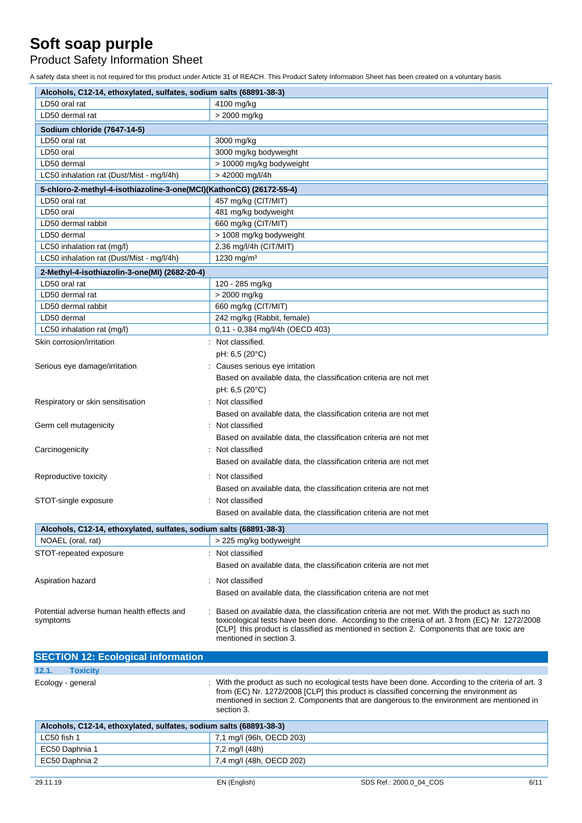Product Safety Information Sheet

A safety data sheet is not required for this product under Article 31 of REACH. This Product Safety Information Sheet has been created on a voluntary basis

| Alcohols, C12-14, ethoxylated, sulfates, sodium salts (68891-38-3)  |                                                                                                  |  |
|---------------------------------------------------------------------|--------------------------------------------------------------------------------------------------|--|
| LD50 oral rat                                                       | 4100 mg/kg                                                                                       |  |
| LD50 dermal rat                                                     | > 2000 mg/kg                                                                                     |  |
| Sodium chloride (7647-14-5)                                         |                                                                                                  |  |
| LD50 oral rat                                                       | 3000 mg/kg                                                                                       |  |
| LD50 oral                                                           | 3000 mg/kg bodyweight                                                                            |  |
| LD50 dermal                                                         | > 10000 mg/kg bodyweight                                                                         |  |
| LC50 inhalation rat (Dust/Mist - mg/l/4h)                           | > 42000 mg/l/4h                                                                                  |  |
| 5-chloro-2-methyl-4-isothiazoline-3-one(MCI)(KathonCG) (26172-55-4) |                                                                                                  |  |
| LD50 oral rat                                                       | 457 mg/kg (CIT/MIT)                                                                              |  |
| LD50 oral                                                           | 481 mg/kg bodyweight                                                                             |  |
| LD50 dermal rabbit                                                  | 660 mg/kg (CIT/MIT)                                                                              |  |
| LD50 dermal                                                         | > 1008 mg/kg bodyweight                                                                          |  |
| LC50 inhalation rat (mg/l)                                          | 2,36 mg/l/4h (CIT/MIT)                                                                           |  |
| LC50 inhalation rat (Dust/Mist - mg/l/4h)                           | 1230 mg/m <sup>3</sup>                                                                           |  |
| 2-Methyl-4-isothiazolin-3-one(MI) (2682-20-4)                       |                                                                                                  |  |
| LD50 oral rat                                                       | 120 - 285 mg/kg                                                                                  |  |
| LD50 dermal rat                                                     | > 2000 mg/kg                                                                                     |  |
| LD50 dermal rabbit                                                  | 660 mg/kg (CIT/MIT)                                                                              |  |
| LD50 dermal                                                         | 242 mg/kg (Rabbit, female)                                                                       |  |
| LC50 inhalation rat (mg/l)                                          | 0,11 - 0,384 mg/l/4h (OECD 403)                                                                  |  |
| Skin corrosion/irritation                                           | : Not classified.                                                                                |  |
|                                                                     | pH: 6,5 (20°C)                                                                                   |  |
| Serious eye damage/irritation                                       | : Causes serious eye irritation                                                                  |  |
|                                                                     | Based on available data, the classification criteria are not met                                 |  |
|                                                                     | pH: 6,5 (20°C)                                                                                   |  |
| Respiratory or skin sensitisation                                   | Not classified                                                                                   |  |
|                                                                     | Based on available data, the classification criteria are not met                                 |  |
| Germ cell mutagenicity                                              | Not classified                                                                                   |  |
|                                                                     | Based on available data, the classification criteria are not met                                 |  |
| Carcinogenicity                                                     | Not classified                                                                                   |  |
|                                                                     | Based on available data, the classification criteria are not met                                 |  |
| Reproductive toxicity                                               | Not classified                                                                                   |  |
|                                                                     | Based on available data, the classification criteria are not met                                 |  |
| STOT-single exposure                                                | Not classified                                                                                   |  |
|                                                                     | Based on available data, the classification criteria are not met                                 |  |
| Alcohols, C12-14, ethoxylated, sulfates, sodium salts (68891-38-3)  |                                                                                                  |  |
| NOAEL (oral, rat)                                                   | > 225 mg/kg bodyweight                                                                           |  |
| STOT-repeated exposure                                              | Not classified                                                                                   |  |
|                                                                     |                                                                                                  |  |
|                                                                     | Based on available data, the classification criteria are not met                                 |  |
| Aspiration hazard                                                   | Not classified                                                                                   |  |
|                                                                     | Based on available data, the classification criteria are not met                                 |  |
| Potential adverse human health effects and                          | Based on available data, the classification criteria are not met. With the product as such no    |  |
| symptoms                                                            | toxicological tests have been done. According to the criteria of art. 3 from (EC) Nr. 1272/2008  |  |
|                                                                     | [CLP] this product is classified as mentioned in section 2. Components that are toxic are        |  |
|                                                                     | mentioned in section 3.                                                                          |  |
| <b>SECTION 12: Ecological information</b>                           |                                                                                                  |  |
| 12.1.<br><b>Toxicity</b>                                            |                                                                                                  |  |
| Ecology - general                                                   | With the product as such no ecological tests have been done. According to the criteria of art. 3 |  |
|                                                                     | from (EC) Nr. 1272/2008 [CLP] this product is classified concerning the environment as           |  |
|                                                                     | mentioned in section 2. Components that are dangerous to the environment are mentioned in        |  |
|                                                                     | section 3.                                                                                       |  |
| Alcohols, C12-14, ethoxylated, sulfates, sodium salts (68891-38-3)  |                                                                                                  |  |
| LC50 fish 1                                                         | 7,1 mg/l (96h, OECD 203)                                                                         |  |
| EC50 Daphnia 1                                                      | 7,2 mg/l (48h)                                                                                   |  |

EC50 Daphnia 2 7,4 mg/l (48h, OECD 202)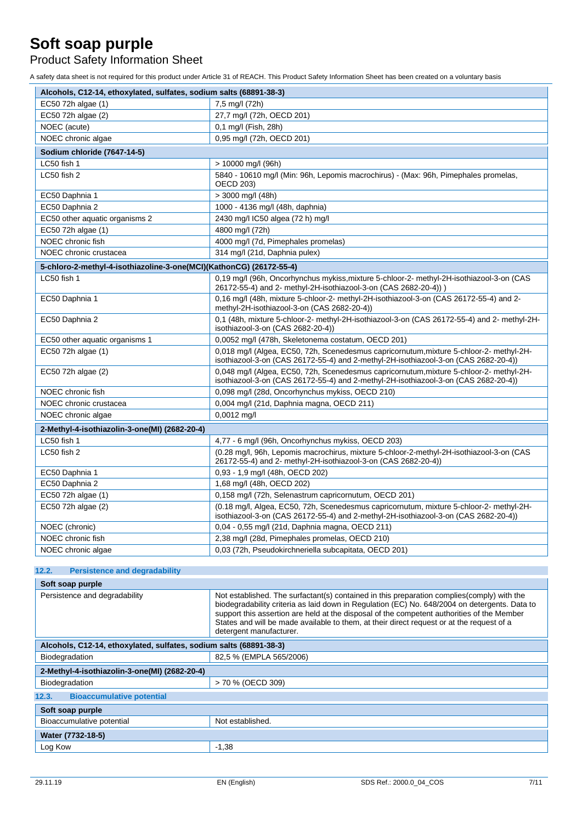Product Safety Information Sheet

A safety data sheet is not required for this product under Article 31 of REACH. This Product Safety Information Sheet has been created on a voluntary basis

| Alcohols, C12-14, ethoxylated, sulfates, sodium salts (68891-38-3)  |                                                                                                                                                                                |  |  |  |
|---------------------------------------------------------------------|--------------------------------------------------------------------------------------------------------------------------------------------------------------------------------|--|--|--|
| EC50 72h algae (1)                                                  | 7,5 mg/l (72h)                                                                                                                                                                 |  |  |  |
| EC50 72h algae (2)                                                  | 27,7 mg/l (72h, OECD 201)                                                                                                                                                      |  |  |  |
| NOEC (acute)                                                        | 0,1 mg/l (Fish, 28h)                                                                                                                                                           |  |  |  |
| NOEC chronic algae                                                  | 0.95 mg/l (72h, OECD 201)                                                                                                                                                      |  |  |  |
| Sodium chloride (7647-14-5)                                         |                                                                                                                                                                                |  |  |  |
| LC50 fish 1                                                         | $> 10000$ mg/l (96h)                                                                                                                                                           |  |  |  |
| LC50 fish 2                                                         | 5840 - 10610 mg/l (Min: 96h, Lepomis macrochirus) - (Max: 96h, Pimephales promelas,<br><b>OECD 203)</b>                                                                        |  |  |  |
| EC50 Daphnia 1                                                      | $>$ 3000 mg/l (48h)                                                                                                                                                            |  |  |  |
| EC50 Daphnia 2                                                      | 1000 - 4136 mg/l (48h, daphnia)                                                                                                                                                |  |  |  |
| EC50 other aquatic organisms 2                                      | 2430 mg/l IC50 algea (72 h) mg/l                                                                                                                                               |  |  |  |
| EC50 72h algae (1)                                                  | 4800 mg/l (72h)                                                                                                                                                                |  |  |  |
| NOEC chronic fish                                                   | 4000 mg/l (7d, Pimephales promelas)                                                                                                                                            |  |  |  |
| NOEC chronic crustacea                                              | 314 mg/l (21d, Daphnia pulex)                                                                                                                                                  |  |  |  |
| 5-chloro-2-methyl-4-isothiazoline-3-one(MCI)(KathonCG) (26172-55-4) |                                                                                                                                                                                |  |  |  |
| LC50 fish 1                                                         | 0,19 mg/l (96h, Oncorhynchus mykiss, mixture 5-chloor-2- methyl-2H-isothiazool-3-on (CAS<br>26172-55-4) and 2- methyl-2H-isothiazool-3-on (CAS 2682-20-4)) )                   |  |  |  |
| EC50 Daphnia 1                                                      | 0,16 mg/l (48h, mixture 5-chloor-2- methyl-2H-isothiazool-3-on (CAS 26172-55-4) and 2-<br>methyl-2H-isothiazool-3-on (CAS 2682-20-4))                                          |  |  |  |
| EC50 Daphnia 2                                                      | 0,1 (48h, mixture 5-chloor-2- methyl-2H-isothiazool-3-on (CAS 26172-55-4) and 2- methyl-2H-<br>isothiazool-3-on (CAS 2682-20-4))                                               |  |  |  |
| EC50 other aquatic organisms 1                                      | 0,0052 mg/l (478h, Skeletonema costatum, OECD 201)                                                                                                                             |  |  |  |
| EC50 72h algae (1)                                                  | 0,018 mg/l (Algea, EC50, 72h, Scenedesmus capricornutum, mixture 5-chloor-2- methyl-2H-<br>isothiazool-3-on (CAS 26172-55-4) and 2-methyl-2H-isothiazool-3-on (CAS 2682-20-4)) |  |  |  |
| EC50 72h algae (2)                                                  | 0,048 mg/l (Algea, EC50, 72h, Scenedesmus capricornutum, mixture 5-chloor-2- methyl-2H-<br>isothiazool-3-on (CAS 26172-55-4) and 2-methyl-2H-isothiazool-3-on (CAS 2682-20-4)) |  |  |  |
| NOEC chronic fish                                                   | 0,098 mg/l (28d, Oncorhynchus mykiss, OECD 210)                                                                                                                                |  |  |  |
| NOEC chronic crustacea                                              | 0,004 mg/l (21d, Daphnia magna, OECD 211)                                                                                                                                      |  |  |  |
| NOEC chronic algae                                                  | $0,0012$ mg/l                                                                                                                                                                  |  |  |  |
| 2-Methyl-4-isothiazolin-3-one(MI) (2682-20-4)                       |                                                                                                                                                                                |  |  |  |
| LC50 fish 1                                                         | 4,77 - 6 mg/l (96h, Oncorhynchus mykiss, OECD 203)                                                                                                                             |  |  |  |
| LC50 fish 2                                                         | (0.28 mg/l, 96h, Lepomis macrochirus, mixture 5-chloor-2-methyl-2H-isothiazool-3-on (CAS<br>26172-55-4) and 2- methyl-2H-isothiazool-3-on (CAS 2682-20-4))                     |  |  |  |
| EC50 Daphnia 1                                                      | 0,93 - 1,9 mg/l (48h, OECD 202)                                                                                                                                                |  |  |  |
| EC50 Daphnia 2                                                      | 1,68 mg/l (48h, OECD 202)                                                                                                                                                      |  |  |  |
| EC50 72h algae (1)                                                  | 0.158 mg/l (72h, Selenastrum capricornutum, OECD 201)                                                                                                                          |  |  |  |
| EC50 72h algae (2)                                                  | (0.18 mg/l, Algea, EC50, 72h, Scenedesmus capricornutum, mixture 5-chloor-2- methyl-2H-<br>isothiazool-3-on (CAS 26172-55-4) and 2-methyl-2H-isothiazool-3-on (CAS 2682-20-4)) |  |  |  |
| NOEC (chronic)                                                      | 0,04 - 0,55 mg/l (21d, Daphnia magna, OECD 211)                                                                                                                                |  |  |  |
| NOEC chronic fish                                                   | 2,38 mg/l (28d, Pimephales promelas, OECD 210)                                                                                                                                 |  |  |  |
| NOEC chronic algae                                                  | 0,03 (72h, Pseudokirchneriella subcapitata, OECD 201)                                                                                                                          |  |  |  |

#### **12.2. Persistence and degradability**

**Soft soap purple** Persistence and degradability Not established. The surfactant(s) contained in this preparation complies(comply) with the biodegradability criteria as laid down in Regulation (EC) No. 648/2004 on detergents. Data to support this assertion are held at the disposal of the competent authorities of the Member States and will be made available to them, at their direct request or at the request of a detergent manufacturer.

| Alcohols, C12-14, ethoxylated, sulfates, sodium salts (68891-38-3) |                         |  |  |
|--------------------------------------------------------------------|-------------------------|--|--|
| Biodegradation                                                     | 82,5 % (EMPLA 565/2006) |  |  |
| 2-Methyl-4-isothiazolin-3-one(MI) (2682-20-4)                      |                         |  |  |
| Biodegradation                                                     | > 70 % (OECD 309)       |  |  |
| <b>Bioaccumulative potential</b><br>12.3.                          |                         |  |  |
| Soft soap purple                                                   |                         |  |  |
| Bioaccumulative potential                                          | Not established.        |  |  |
| Water (7732-18-5)                                                  |                         |  |  |
| Log Kow                                                            | $-1,38$                 |  |  |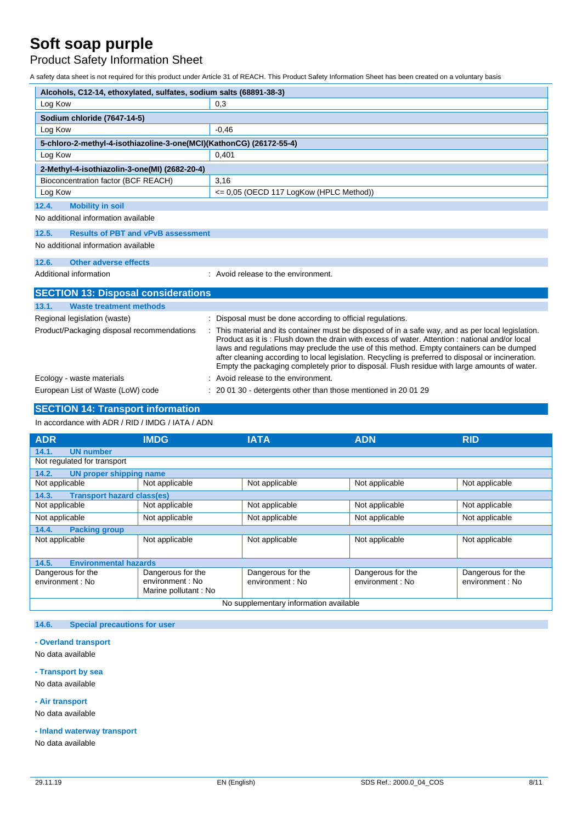Product Safety Information Sheet

A safety data sheet is not required for this product under Article 31 of REACH. This Product Safety Information Sheet has been created on a voluntary basis

| Alcohols, C12-14, ethoxylated, sulfates, sodium salts (68891-38-3)  |                                                                                                                                                                                                                                                                                                                                                                                                                                                                                                     |  |  |
|---------------------------------------------------------------------|-----------------------------------------------------------------------------------------------------------------------------------------------------------------------------------------------------------------------------------------------------------------------------------------------------------------------------------------------------------------------------------------------------------------------------------------------------------------------------------------------------|--|--|
| Log Kow                                                             | 0,3                                                                                                                                                                                                                                                                                                                                                                                                                                                                                                 |  |  |
| Sodium chloride (7647-14-5)                                         |                                                                                                                                                                                                                                                                                                                                                                                                                                                                                                     |  |  |
| Log Kow                                                             | $-0,46$                                                                                                                                                                                                                                                                                                                                                                                                                                                                                             |  |  |
| 5-chloro-2-methyl-4-isothiazoline-3-one(MCI)(KathonCG) (26172-55-4) |                                                                                                                                                                                                                                                                                                                                                                                                                                                                                                     |  |  |
| Log Kow                                                             | 0.401                                                                                                                                                                                                                                                                                                                                                                                                                                                                                               |  |  |
| 2-Methyl-4-isothiazolin-3-one(MI) (2682-20-4)                       |                                                                                                                                                                                                                                                                                                                                                                                                                                                                                                     |  |  |
| Bioconcentration factor (BCF REACH)                                 | 3,16                                                                                                                                                                                                                                                                                                                                                                                                                                                                                                |  |  |
| Log Kow                                                             | <= 0,05 (OECD 117 LogKow (HPLC Method))                                                                                                                                                                                                                                                                                                                                                                                                                                                             |  |  |
| 12.4.<br><b>Mobility in soil</b>                                    |                                                                                                                                                                                                                                                                                                                                                                                                                                                                                                     |  |  |
| No additional information available                                 |                                                                                                                                                                                                                                                                                                                                                                                                                                                                                                     |  |  |
| <b>Results of PBT and vPvB assessment</b><br>12.5.                  |                                                                                                                                                                                                                                                                                                                                                                                                                                                                                                     |  |  |
| No additional information available                                 |                                                                                                                                                                                                                                                                                                                                                                                                                                                                                                     |  |  |
| <b>Other adverse effects</b><br>12.6.                               |                                                                                                                                                                                                                                                                                                                                                                                                                                                                                                     |  |  |
| Additional information                                              | : Avoid release to the environment.                                                                                                                                                                                                                                                                                                                                                                                                                                                                 |  |  |
| <b>SECTION 13: Disposal considerations</b>                          |                                                                                                                                                                                                                                                                                                                                                                                                                                                                                                     |  |  |
| 13.1.<br><b>Waste treatment methods</b>                             |                                                                                                                                                                                                                                                                                                                                                                                                                                                                                                     |  |  |
| Regional legislation (waste)                                        | Disposal must be done according to official regulations.                                                                                                                                                                                                                                                                                                                                                                                                                                            |  |  |
| Product/Packaging disposal recommendations                          | This material and its container must be disposed of in a safe way, and as per local legislation.<br>Product as it is: Flush down the drain with excess of water. Attention: national and/or local<br>laws and regulations may preclude the use of this method. Empty containers can be dumped<br>after cleaning according to local legislation. Recycling is preferred to disposal or incineration.<br>Empty the packaging completely prior to disposal. Flush residue with large amounts of water. |  |  |
| Ecology - waste materials                                           | Avoid release to the environment.                                                                                                                                                                                                                                                                                                                                                                                                                                                                   |  |  |
| European List of Waste (LoW) code                                   | 20 01 30 - detergents other than those mentioned in 20 01 29                                                                                                                                                                                                                                                                                                                                                                                                                                        |  |  |

### **SECTION 14: Transport information**

In accordance with ADR / RID / IMDG / IATA / ADN

| <b>ADR</b>                                 | <b>IMDG</b>                            | <b>IATA</b>       | <b>ADN</b>        | <b>RID</b>        |  |
|--------------------------------------------|----------------------------------------|-------------------|-------------------|-------------------|--|
| 14.1.<br><b>UN number</b>                  |                                        |                   |                   |                   |  |
| Not regulated for transport                |                                        |                   |                   |                   |  |
| 14.2.<br>UN proper shipping name           |                                        |                   |                   |                   |  |
| Not applicable                             | Not applicable                         | Not applicable    | Not applicable    | Not applicable    |  |
| <b>Transport hazard class(es)</b><br>14.3. |                                        |                   |                   |                   |  |
| Not applicable                             | Not applicable                         | Not applicable    | Not applicable    | Not applicable    |  |
| Not applicable                             | Not applicable                         | Not applicable    | Not applicable    | Not applicable    |  |
| 14.4.<br><b>Packing group</b>              |                                        |                   |                   |                   |  |
| Not applicable                             | Not applicable                         | Not applicable    | Not applicable    | Not applicable    |  |
|                                            |                                        |                   |                   |                   |  |
| <b>Environmental hazards</b><br>14.5.      |                                        |                   |                   |                   |  |
| Dangerous for the                          | Dangerous for the                      | Dangerous for the | Dangerous for the | Dangerous for the |  |
| environment : No                           | environment : No                       | environment : No  | environment : No  | environment : No  |  |
|                                            | Marine pollutant: No                   |                   |                   |                   |  |
|                                            | No supplementary information available |                   |                   |                   |  |

#### **14.6. Special precautions for user**

#### **- Overland transport**

No data available

#### **- Transport by sea**

No data available

#### **- Air transport**

No data available

#### **- Inland waterway transport**

No data available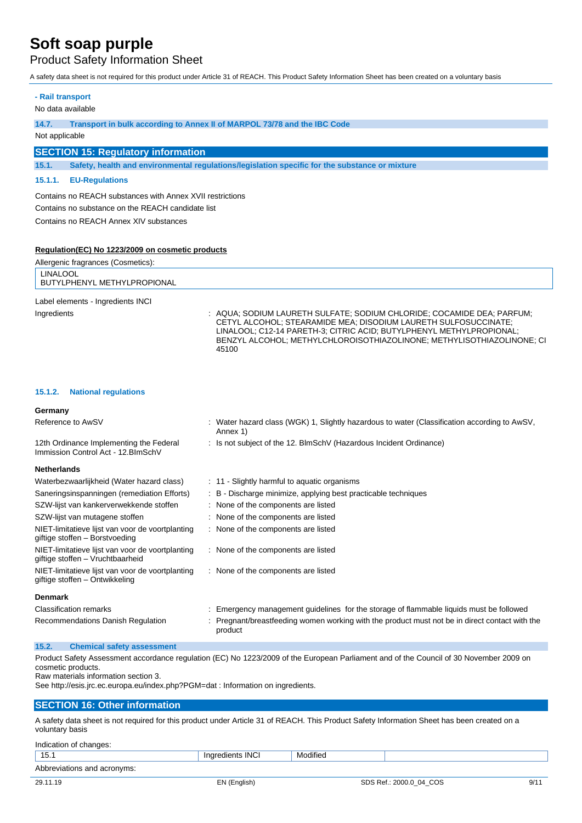**- Rail transport**

Product Safety Information Sheet

A safety data sheet is not required for this product under Article 31 of REACH. This Product Safety Information Sheet has been created on a voluntary basis

| No data available                                         |                                                                                                                                                                                                                   |  |  |  |
|-----------------------------------------------------------|-------------------------------------------------------------------------------------------------------------------------------------------------------------------------------------------------------------------|--|--|--|
| 14.7.                                                     | Transport in bulk according to Annex II of MARPOL 73/78 and the IBC Code                                                                                                                                          |  |  |  |
| Not applicable                                            |                                                                                                                                                                                                                   |  |  |  |
| <b>SECTION 15: Regulatory information</b>                 |                                                                                                                                                                                                                   |  |  |  |
| 15.1.                                                     | Safety, health and environmental regulations/legislation specific for the substance or mixture                                                                                                                    |  |  |  |
| <b>EU-Regulations</b><br>15.1.1.                          |                                                                                                                                                                                                                   |  |  |  |
| Contains no REACH substances with Annex XVII restrictions |                                                                                                                                                                                                                   |  |  |  |
| Contains no substance on the REACH candidate list         |                                                                                                                                                                                                                   |  |  |  |
| Contains no REACH Annex XIV substances                    |                                                                                                                                                                                                                   |  |  |  |
|                                                           |                                                                                                                                                                                                                   |  |  |  |
| Regulation (EC) No 1223/2009 on cosmetic products         |                                                                                                                                                                                                                   |  |  |  |
| Allergenic fragrances (Cosmetics):                        |                                                                                                                                                                                                                   |  |  |  |
| <b>LINALOOL</b><br>BUTYLPHENYL METHYLPROPIONAL            |                                                                                                                                                                                                                   |  |  |  |
| Label elements - Ingredients INCI                         |                                                                                                                                                                                                                   |  |  |  |
| Ingredients                                               | : AQUA; SODIUM LAURETH SULFATE; SODIUM CHLORIDE; COCAMIDE DEA; PARFUM;<br>CETYL ALCOHOL: STEARAMIDE MEA: DISODIUM LAURETH SULFOSUCCINATE:<br>LINALOOL: C12-14 PARETH-3: CITRIC ACID: BUTYLPHENYL METHYLPROPIONAL: |  |  |  |

45100

#### **15.1.2. National regulations**

12th Ordinance Implementing the Federal

#### **Germany**

Reference to AwSV : Water hazard class (WGK) 1, Slightly hazardous to water (Classification according to AwSV, Annex 1)

BENZYL ALCOHOL; METHYLCHLOROISOTHIAZOLINONE; METHYLISOTHIAZOLINONE; CI

: Is not subject of the 12. BlmSchV (Hazardous Incident Ordinance)

#### Immission Control Act - 12.BImSchV **Netherlands**

| nemerianus                                                                           |                                                                                                         |
|--------------------------------------------------------------------------------------|---------------------------------------------------------------------------------------------------------|
| Waterbezwaarlijkheid (Water hazard class)                                            | : 11 - Slightly harmful to aquatic organisms                                                            |
| Saneringsinspanningen (remediation Efforts)                                          | : B - Discharge minimize, applying best practicable techniques                                          |
| SZW-lijst van kankerverwekkende stoffen                                              | : None of the components are listed                                                                     |
| SZW-lijst van mutagene stoffen                                                       | : None of the components are listed                                                                     |
| NIET-limitatieve lijst van voor de voortplanting<br>giftige stoffen - Borstvoeding   | : None of the components are listed                                                                     |
| NIET-limitatieve lijst van voor de voortplanting<br>giftige stoffen - Vruchtbaarheid | : None of the components are listed                                                                     |
| NIET-limitatieve lijst van voor de voortplanting<br>giftige stoffen - Ontwikkeling   | : None of the components are listed                                                                     |
| <b>Denmark</b>                                                                       |                                                                                                         |
| <b>Classification remarks</b>                                                        | Emergency management guidelines for the storage of flammable liquids must be followed                   |
| Recommendations Danish Regulation                                                    | Pregnant/breastfeeding women working with the product must not be in direct contact with the<br>product |
|                                                                                      |                                                                                                         |

#### **15.2. Chemical safety assessment**

Product Safety Assessment accordance regulation (EC) No 1223/2009 of the European Parliament and of the Council of 30 November 2009 on cosmetic products.

Raw materials information section 3.

See http://esis.jrc.ec.europa.eu/index.php?PGM=dat : Information on ingredients.

#### **SECTION 16: Other information**

A safety data sheet is not required for this product under Article 31 of REACH. This Product Safety Information Sheet has been created on a voluntary basis

| Indication of changes:      |                  |          |                         |      |
|-----------------------------|------------------|----------|-------------------------|------|
| 15.1                        | Ingredients INCI | Modified |                         |      |
| Abbreviations and acronyms: |                  |          |                         |      |
| 29.11.19                    | EN (English)     |          | SDS Ref.: 2000.0_04_COS | 9/11 |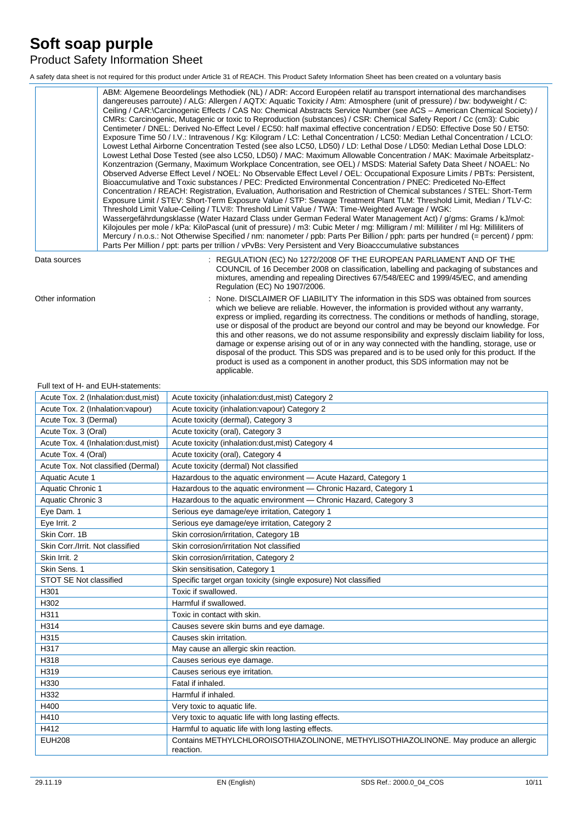## Product Safety Information Sheet

A safety data sheet is not required for this product under Article 31 of REACH. This Product Safety Information Sheet has been created on a voluntary basis

|                   | ABM: Algemene Beoordelings Methodiek (NL) / ADR: Accord Européen relatif au transport international des marchandises<br>dangereuses parroute) / ALG: Allergen / AQTX: Aquatic Toxicity / Atm: Atmosphere (unit of pressure) / bw: bodyweight / C:<br>Ceiling / CAR:\Carcinogenic Effects / CAS No: Chemical Abstracts Service Number (see ACS – American Chemical Society) /<br>CMRs: Carcinogenic, Mutagenic or toxic to Reproduction (substances) / CSR: Chemical Safety Report / Cc (cm3): Cubic<br>Centimeter / DNEL: Derived No-Effect Level / EC50: half maximal effective concentration / ED50: Effective Dose 50 / ET50:<br>Exposure Time 50 / I.V.: Intravenous / Kg: Kilogram / LC: Lethal Concentration / LC50: Median Lethal Concentration / LCLO:<br>Lowest Lethal Airborne Concentration Tested (see also LC50, LD50) / LD: Lethal Dose / LD50: Median Lethal Dose LDLO:<br>Lowest Lethal Dose Tested (see also LC50, LD50) / MAC: Maximum Allowable Concentration / MAK: Maximale Arbeitsplatz-<br>Konzentrazion (Germany, Maximum Workplace Concentration, see OEL) / MSDS: Material Safety Data Sheet / NOAEL: No<br>Observed Adverse Effect Level / NOEL: No Observable Effect Level / OEL: Occupational Exposure Limits / PBTs: Persistent,<br>Bioaccumulative and Toxic substances / PEC: Predicted Environmental Concentration / PNEC: Prediceted No-Effect<br>Concentration / REACH: Registration, Evaluation, Authorisation and Restriction of Chemical substances / STEL: Short-Term<br>Exposure Limit / STEV: Short-Term Exposure Value / STP: Sewage Treatment Plant TLM: Threshold Limit, Median / TLV-C:<br>Threshold Limit Value-Ceiling / TLV®: Threshold Limit Value / TWA: Time-Weighted Average / WGK:<br>Wassergefährdungsklasse (Water Hazard Class under German Federal Water Management Act) / g/gms: Grams / kJ/mol:<br>Kilojoules per mole / kPa: KiloPascal (unit of pressure) / m3: Cubic Meter / mg: Milligram / ml: Milliliter / ml Hg: Milliliters of<br>Mercury / n.o.s.: Not Otherwise Specified / nm: nanometer / ppb: Parts Per Billion / pph: parts per hundred (= percent) / ppm:<br>Parts Per Million / ppt: parts per trillion / vPvBs: Very Persistent and Very Bioacccumulative substances |
|-------------------|--------------------------------------------------------------------------------------------------------------------------------------------------------------------------------------------------------------------------------------------------------------------------------------------------------------------------------------------------------------------------------------------------------------------------------------------------------------------------------------------------------------------------------------------------------------------------------------------------------------------------------------------------------------------------------------------------------------------------------------------------------------------------------------------------------------------------------------------------------------------------------------------------------------------------------------------------------------------------------------------------------------------------------------------------------------------------------------------------------------------------------------------------------------------------------------------------------------------------------------------------------------------------------------------------------------------------------------------------------------------------------------------------------------------------------------------------------------------------------------------------------------------------------------------------------------------------------------------------------------------------------------------------------------------------------------------------------------------------------------------------------------------------------------------------------------------------------------------------------------------------------------------------------------------------------------------------------------------------------------------------------------------------------------------------------------------------------------------------------------------------------------------------------------------------------------------------------------------------------------------------|
| Data sources      | : REGULATION (EC) No 1272/2008 OF THE EUROPEAN PARLIAMENT AND OF THE<br>COUNCIL of 16 December 2008 on classification, labelling and packaging of substances and<br>mixtures, amending and repealing Directives 67/548/EEC and 1999/45/EC, and amending<br>Regulation (EC) No 1907/2006.                                                                                                                                                                                                                                                                                                                                                                                                                                                                                                                                                                                                                                                                                                                                                                                                                                                                                                                                                                                                                                                                                                                                                                                                                                                                                                                                                                                                                                                                                                                                                                                                                                                                                                                                                                                                                                                                                                                                                         |
| Other information | : None, DISCLAIMER OF LIABILITY The information in this SDS was obtained from sources<br>which we believe are reliable. However, the information is provided without any warranty,<br>express or implied, regarding its correctness. The conditions or methods of handling, storage,<br>use or disposal of the product are beyond our control and may be beyond our knowledge. For<br>this and other reasons, we do not assume responsibility and expressly disclaim liability for loss,<br>damage or expense arising out of or in any way connected with the handling, storage, use or                                                                                                                                                                                                                                                                                                                                                                                                                                                                                                                                                                                                                                                                                                                                                                                                                                                                                                                                                                                                                                                                                                                                                                                                                                                                                                                                                                                                                                                                                                                                                                                                                                                          |

applicable.

#### Full text of H- and EUH-statements:

| Acute Tox. 2 (Inhalation: dust, mist) | Acute toxicity (inhalation:dust, mist) Category 2                                                 |
|---------------------------------------|---------------------------------------------------------------------------------------------------|
| Acute Tox. 2 (Inhalation: vapour)     | Acute toxicity (inhalation: vapour) Category 2                                                    |
| Acute Tox. 3 (Dermal)                 | Acute toxicity (dermal), Category 3                                                               |
| Acute Tox. 3 (Oral)                   | Acute toxicity (oral), Category 3                                                                 |
| Acute Tox. 4 (Inhalation:dust, mist)  | Acute toxicity (inhalation:dust, mist) Category 4                                                 |
| Acute Tox. 4 (Oral)                   | Acute toxicity (oral), Category 4                                                                 |
| Acute Tox. Not classified (Dermal)    | Acute toxicity (dermal) Not classified                                                            |
| Aquatic Acute 1                       | Hazardous to the aquatic environment - Acute Hazard, Category 1                                   |
| Aquatic Chronic 1                     | Hazardous to the aquatic environment - Chronic Hazard, Category 1                                 |
| Aquatic Chronic 3                     | Hazardous to the aquatic environment - Chronic Hazard, Category 3                                 |
| Eye Dam. 1                            | Serious eye damage/eye irritation, Category 1                                                     |
| Eye Irrit. 2                          | Serious eye damage/eye irritation, Category 2                                                     |
| Skin Corr, 1B                         | Skin corrosion/irritation, Category 1B                                                            |
| Skin Corr./Irrit. Not classified      | Skin corrosion/irritation Not classified                                                          |
| Skin Irrit. 2                         | Skin corrosion/irritation, Category 2                                                             |
| Skin Sens. 1                          | Skin sensitisation, Category 1                                                                    |
| STOT SE Not classified                | Specific target organ toxicity (single exposure) Not classified                                   |
| H301                                  | Toxic if swallowed.                                                                               |
| H302                                  | Harmful if swallowed.                                                                             |
| H311                                  | Toxic in contact with skin.                                                                       |
| H314                                  | Causes severe skin burns and eye damage.                                                          |
| H315                                  | Causes skin irritation.                                                                           |
| H317                                  | May cause an allergic skin reaction.                                                              |
| H318                                  | Causes serious eye damage.                                                                        |
| H319                                  | Causes serious eye irritation.                                                                    |
| H330                                  | Fatal if inhaled.                                                                                 |
| H332                                  | Harmful if inhaled.                                                                               |
| H400                                  | Very toxic to aquatic life.                                                                       |
| H410                                  | Very toxic to aquatic life with long lasting effects.                                             |
| H412                                  | Harmful to aquatic life with long lasting effects.                                                |
| <b>EUH208</b>                         | Contains METHYLCHLOROISOTHIAZOLINONE, METHYLISOTHIAZOLINONE. May produce an allergic<br>reaction. |

disposal of the product. This SDS was prepared and is to be used only for this product. If the product is used as a component in another product, this SDS information may not be